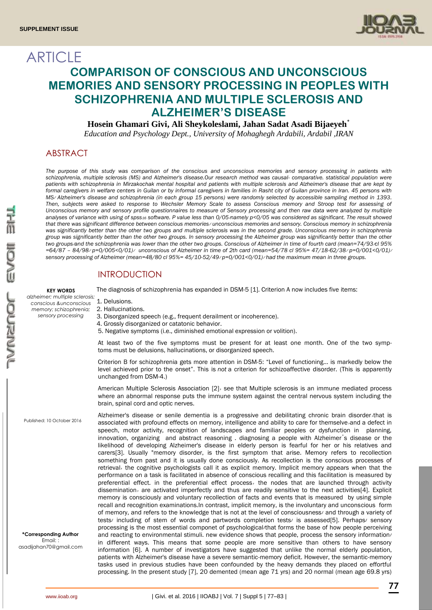

# **ARTICLE COMPARISON OF CONSCIOUS AND UNCONSCIOUS MEMORIES AND SENSORY PROCESSING IN PEOPLES WITH SCHIZOPHRENIA AND MULTIPLE SCLEROSIS AND ALZHEIMER'S DISEASE**

## **Hosein Ghamari Givi, Ali Sheykoleslami, Jahan Sadat Asadi Bijaeyeh٭**

*Education and Psychology Dept., University of Mohaghegh Ardabili*, *Ardabil* ,*IRAN*

# ABSTRACT

*The purpose of this study was comparison of the conscious and unconscious memories and sensory processing in patients with schizophrenia, multiple sclerosis (MS) and Alzheimer's disease.Our research method was causal- comparative. statistical population were patients with schizophrenia in Mirzakochak mental hospital and patients with multiple sclerosis and Alzheimer's disease that are kept by formal caregivers in welfare centers in Guilan or by informal caregivers in families in Rasht city of Guilan province in Iran. 45 persons with MS*٫ *Alzheimer's disease and schizophrenia (in each group 15 persons) were randomly selected by accessible sampling method in 1393. Then, subjects were asked to response to Wechsler Memory Scale to assess Conscious memory and Stroop test for assessing of Unconscious memory and sensory profile questionnaires to measure of Sensory processing and then raw data were analyzed by multiple analyses of variance with using of spss<sup>16</sup> software. P value less than 0/05*٫*namely p<0/05 was considered as significant. The result showed that there was significant difference between conscious memories*٫ *unconscious memories and sensory. Conscious memory in schizophrenia*  was significantly better than the other two groups and multiple sclerosis was in the second grade. Unconscious memory in schizophrenia *group was significantly better than the other two groups. In sensory processing the Alzheimer group was significantly better than the other two groups*٫*and the schizophrenia was lower than the other two groups. Conscious of Alzheimer in time of fourth card (mean=74/93*٫*cl 95% =64/87 – 84/98*٫ *p=0/005<0/01)*٫ *unconscious of Alzheimer in time of 2th card (mean=54/78 cl 95%= 47/18-62/38*٫ *p=0/001<0/01)*٫ *sensory processing of Alzheimer (mean=48/80 cl 95%= 45/10-52/49*٫ *p=0/001<0/01)*٫ *had the maximum mean in three groups.*

## INTRODUCTION

#### **KEY WORDS**

*alzheimer; multiple sclerosis; conscious &unconscious memory; schizophrenia; sensory processing*

Published: 10 October 2016

The diagnosis of schizophrenia has expanded in DSM-5 [1]. Criterion A now includes five items:

#### 1. Delusions.

2. Hallucinations.

3. Disorganized speech (e.g., frequent derailment or incoherence).

- 4. Grossly disorganized or catatonic behavior.
- 5. Negative symptoms (i.e., diminished emotional expression or volition).

At least two of the five symptoms must be present for at least one month. One of the two symptoms must be delusions, hallucinations, or disorganized speech.

Criterion B for schizophrenia gets more attention in DSM-5: "Level of functioning… is markedly below the level achieved prior to the onset". This is *not* a criterion for schizoaffective disorder. (This is apparently unchanged from DSM-4.)

American Multiple Sclerosis Association [2]٫ see that Multiple sclerosis is an immune mediated process where an abnormal response puts the immune system against the central nervous system including the brain, spinal cord and optic nerves.

Alzheimer's disease or senile dementia is a progressive and debilitating chronic brain disorder٫that is associated with profound effects on memory, intelligence and ability to care for themselve, and a defect in speech, motor activity, recognition of landscapes and familiar peoples or dysfunction in planning, innovation, organizing and abstract reasoning . diagnosing a people with Alzheimer᾽s disease or the likelihood of developing Alzheimer's disease in elderly person is fearful for her or his relatives and carers[3]. Usually "memory disorder, is the first symptom that arise. Memory refers to recollection something from past and it is usually done consciously. As recollection is the conscious processes of retrieval٫ the cognitive psychologists call it as explicit memory. Implicit memory appears when that the performance on a task is facilitated in absence of conscious recalling and this facilitation is measured by preferential effect. in the preferential effect process, the nodes that are launched through activity dissemination, are activated imperfectly and thus are readily sensitive to the next activities[4]. Explicit memory is consciously and voluntary recollection of facts and events that is measured by using simple recall and recognition examinations.In contrast, implicit memory, is the involuntary and unconscious form of memory, and refers to the knowledge that is not at the level of consciousness/ and through a variety of tests/ including of stem of words and partwords completion tests/ is assessed[5]. Perhaps/ sensory processing is the most essential componet of psychological/that forms the base of how people perceiving and reacting to environmental stimuli. new evidence shows that people, process the sensory information/ in different ways. This means that some people are more sensitive than others to have sensory information [6]. A number of investigators have suggested that unlike the normal elderly population, patients with Alzheimer's disease have a severe semantic-memory deficit. However, the semantic-memory tasks used in previous studies have been confounded by the heavy demands they placed on effortful processing. In the present study [7], 20 demented (mean age 71 yrs) and 20 normal (mean age 69.8 yrs)

**\*Corresponding Author** Email: : [asadijahan70@gmail.com](mailto:asadijahan70@gmail.com)

**77**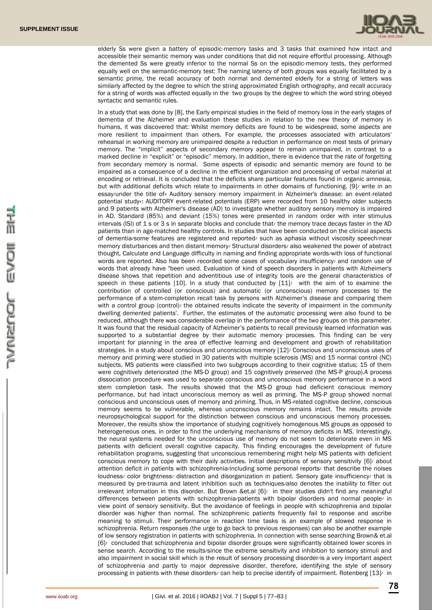

elderly Ss were given a battery of episodic-memory tasks and 3 tasks that examined how intact and accessible their semantic memory was under conditions that did not require effortful processing. Although the demented Ss were greatly inferior to the normal Ss on the episodic-memory tests, they performed equally well on the semantic-memory test: The naming latency of both groups was equally facilitated by a semantic prime, the recall accuracy of both normal and demented elderly for a string of letters was similarly affected by the degree to which the string approximated English orthography, and recall accuracy for a string of words was affected equally in the two groups by the degree to which the word string obeyed syntactic and semantic rules.

In a study that was done by [8], the Early empirical studies in the field of memory loss in the early stages of dementia of the Alzheimer and evaluation these studies in relation to the new theory of memory in humans, it was discovered that: Whilst memory deficits are found to be widespread, some aspects are more resilient to impairment than others. For example, the processes associated with articulators' rehearsal in working memory are unimpaired despite a reduction in performance on most tests of primary memory. The "implicit" aspects of secondary memory appear to remain unimpaired, in contrast to a marked decline in "explicit" or "episodic" memory. In addition, there is evidence that the rate of forgetting from secondary memory is normal. Some aspects of episodic and semantic memory are found to be impaired as a consequence of a decline in the efficient organization and processing of verbal material at encoding or retrieval. It is concluded that the deficits share particular features found in organic amnesia, but with additional deficits which relate to impairments in other domains of functioning. [9]/ write in an essay/under the title of« Auditory sensory memory impairment in Alzheimer's disease: an event-related potential study»: AUDITORY event-related potentials (ERP) were recorded from 10 healthy older subjects and 9 patients with Alzheimer's disease (AD) to investigate whether auditory sensory memory is impaired in AD. Standard (85%) and deviant (15%) tones were presented in random order with inter stimulus intervals (ISI) of 1 s or 3 s in separate blocks and conclude that/ the memory trace decays faster in the AD patients than in age-matched healthy controls. In studies that have been conducted on the clinical aspects of dementia/some features are registered and reported/ such as aphasia without viscosity speech/near memory disturbances and then distant memory/ Structural disorders/ also weakened the power of abstract thought, Calculate and Language difficulty in naming and finding appropriate words/with loss of functional words are reported. Also has been recorded some cases of vocabulary insufficiency/ and random use of words that already have "been used. Evaluation of kind of speech disorders in patients with Alzheimer's disease shows that repetition and adventitious use of integrity tools are the general characteristics of speech in these patients  $[10]$ . In a study that conducted by  $[11]$  with the aim of to examine the contribution of controlled (or conscious) and automatic (or unconscious) memory processes to the performance of a stem-completion recall task by persons with Alzheimer's disease and comparing them with a control group (control)/ the obtained results indicate the severity of impairment in the community dwelling demented patients'. Further, the estimates of the automatic processing were also found to be reduced, although there was considerable overlap in the performance of the two groups on this parameter. It was found that the residual capacity of Alzheimer's patients to recall previously learned information was supported to a substantial degree by their automatic memory processes. This finding can be very important for planning in the area of effective learning and development and growth of rehabilitation strategies. In a study about conscious and unconscious memory [12]/ Conscious and unconscious uses of memory and priming were studied in 30 patients with multiple sclerosis (MS) and 15 normal control (NC) subjects. MS patients were classified into two subgroups according to their cognitive status; 15 of them were cognitively deteriorated (the MS-D group) and 15 cognitively preserved (the MS-P group).A process dissociation procedure was used to separate conscious and unconscious memory performance in a word stem completion task. The results showed that the MS-D group had deficient conscious memory performance, but had intact unconscious memory as well as priming. The MS-P group showed normal conscious and unconscious uses of memory and priming. Thus, in MS-related cognitive decline, conscious memory seems to be vulnerable, whereas unconscious memory remains intact. The results provide neuropsychological support for the distinction between conscious and unconscious memory processes. Moreover, the results show the importance of studying cognitively homogenous MS groups as opposed to heterogeneous ones, in order to find the underlying mechanisms of memory deficits in MS. Interestingly, the neural systems needed for the unconscious use of memory do not seem to deteriorate even in MS patients with deficient overall cognitive capacity. This finding encourages the development of future rehabilitation programs, suggesting that unconscious remembering might help MS patients with deficient conscious memory to cope with their daily activities. Initial descriptions of sensory sensitivity [6]/ about attention deficit in patients with schizophrenia/including some personal reports/ that describe the noises loudness/ color brightness/ distraction and disorganization in patient. Sensory gate insufficiency/ that is measured by pre-trauma and latent inhibition such as techniques/also denotes the inability to filter out irrelevant information in this disorder. But Brown &et.al [6]/ in their studies didn't find any meaningful differences between patients with schizophrenia/patients with bipolar disorders and normal people/ in view point of sensory sensitivity. But the avoidance of feelings in people with schizophrenia and bipolar disorder was higher than normal. The schizophrenic patients frequently fail to response and ascribe meaning to stimuli. Their performance in reaction time tasks is an example of slowed response in schizophrenia. Return responses (the urge to go back to previous responses) can also be another example of low sensory registration in patients with schizophrenia. In connection with sense searching Brown& et.al [6]/ concluded that schizophrenia and bipolar disorder groups were significantly obtained lower scores in sense search. According to the results/since the extreme sensitivity and inhibition to sensory stimuli and also impairment in social skill which is the result of sensory processing disorder/is a very important aspect of schizophrenia and partly to major depressive disorder, therefore, identifying the style of sensory processing in patients with these disorders/ can help to precise identify of impairment. Rotenberg [13]/ in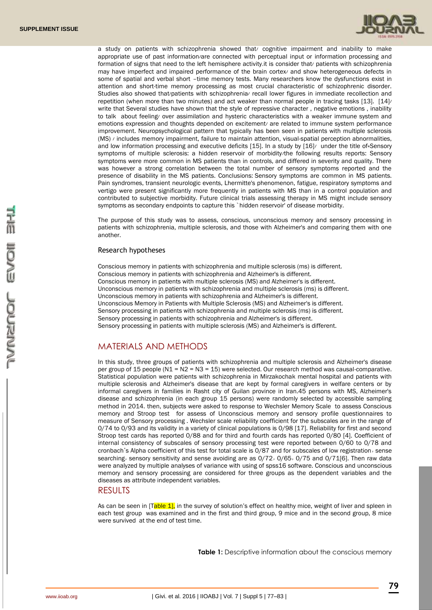

a study on patients with schizophrenia showed that/ cognitive impairment and inability to make appropriate use of past information/are connected with perceptual input or information processing and formation of signs that need to the left hemisphere activity.it is consider that/ patients with schizophrenia may have imperfect and impaired performance of the brain cortex/ and show heterogeneous defects in some of spatial and verbal short –time memory tests. Many researchers know the dysfunctions exist in attention and short-time memory processing as most crucial characteristic of schizophrenic disorder. Studies also showed that/patients with schizophrenia/ recall lower figures in immediate recollection and repetition (when more than two minutes) and act weaker than normal people in tracing tasks [13]. [14]/ write that Several studies have shown that the style of repressive character , negative emotions , inability to talk about feeling/ over assimilation and hysteric characteristics with a weaker immune system and emotions expression and thoughts depended on excitement/ are related to immune system performance improvement. Neuropsychological pattern that typically has been seen in patients with multiple sclerosis (MS) / includes memory impairment, failure to maintain attention, visual-spatial perception abnormalities, and low information processing and executive deficits [15]. In a study by [16] under the title of «Sensory symptoms of multiple sclerosis: a hidden reservoir of morbidity the following results reports: Sensory symptoms were more common in MS patients than in controls, and differed in severity and quality. There was however a strong correlation between the total number of sensory symptoms reported and the presence of disability in the MS patients. Conclusions: Sensory symptoms are common in MS patients. Pain syndromes, transient neurologic events, Lhermitte's phenomenon, fatigue, respiratory symptoms and vertigo were present significantly more frequently in patients with MS than in a control population and contributed to subjective morbidity. Future clinical trials assessing therapy in MS might include sensory symptoms as secondary endpoints to capture this `hidden reservoir' of disease morbidity.

The purpose of this study was to assess, conscious, unconscious memory and sensory processing in patients with schizophrenia, multiple sclerosis, and those with Alzheimer's and comparing them with one another.

### Research hypotheses

Conscious memory in patients with schizophrenia and multiple sclerosis (ms) is different. Conscious memory in patients with schizophrenia and Alzheimer's is different. Conscious memory in patients with multiple sclerosis (MS) and Alzheimer's is different. Unconscious memory in patients with schizophrenia and multiple sclerosis (ms) is different. Unconscious memory in patients with schizophrenia and Alzheimer's is different. Unconscious Memory in Patients with Multiple Sclerosis (MS) and Alzheimer's is different. Sensory processing in patients with schizophrenia and multiple sclerosis (ms) is different. Sensory processing in patients with schizophrenia and Alzheimer's is different. Sensory processing in patients with multiple sclerosis (MS) and Alzheimer's is different.

# MATERIALS AND METHODS

In this study, three groups of patients with schizophrenia and multiple sclerosis and Alzheimer's disease per group of 15 people (N1 = N2 = N3 = 15) were selected. Our research method was causal-comparative. Statistical population were patients with schizophrenia in Mirzakochak mental hospital and patients with multiple sclerosis and Alzheimer's disease that are kept by formal caregivers in welfare centers or by informal caregivers in families in Rasht city of Guilan province in Iran.45 persons with MS, Alzheimer's disease and schizophrenia (in each group 15 persons) were randomly selected by accessible sampling method in 2014. then, subjects were asked to response to Wechsler Memory Scale to assess Conscious memory and Stroop test for assess of Unconscious memory and sensory profile questionnaires to measure of Sensory processing . Wechsler scale reliability coefficient for the subscales are in the range of 0/74 to 0/93 and its validity in a variety of clinical populations is 0/98 [17]. Reliability for first and second Stroop test cards has reported 0/88 and for third and fourth cards has reported 0/80 [4]. Coefficient of internal consistency of subscales of sensory processing test were reported between 0/60 to 0/78 and cronbach's Alpha coefficient of this test for total scale is 0/87 and for subscales of low registration, sense searching, sensory sensitivity and sense avoiding are as 0/72, 0/65, 0/75 and 0/71[6]. Then raw data were analyzed by multiple analyses of variance with using of spss16 software. Conscious and unconscious memory and sensory processing are considered for three groups as the dependent variables and the diseases as attribute independent variables.

## **RESULTS**

As can be seen in [Table 1], in the survey of solution's effect on healthy mice, weight of liver and spleen in each test group was examined and in the first and third group, 9 mice and in the second group, 8 mice were survived at the end of test time.

**Table 1:** Descriptive information about the conscious memory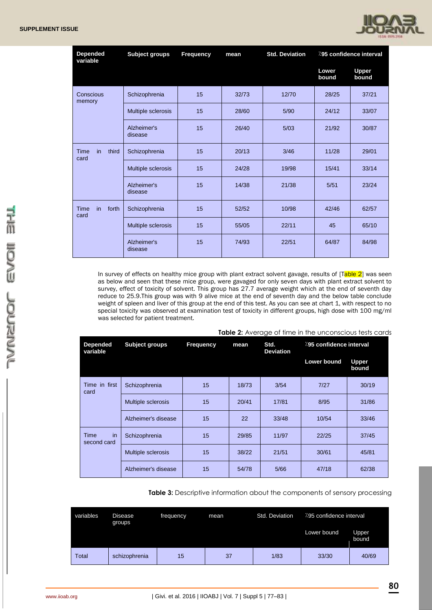

| <b>Depended</b><br>variable | <b>Subject groups</b>  | <b>Frequency</b> | mean  | <b>Std. Deviation</b> | 795 confidence interval |                       |
|-----------------------------|------------------------|------------------|-------|-----------------------|-------------------------|-----------------------|
|                             |                        |                  |       |                       | Lower<br>bound          | <b>Upper</b><br>bound |
| Conscious<br>memory         | Schizophrenia          | 15               | 32/73 | 12/70                 | 28/25                   | 37/21                 |
|                             | Multiple sclerosis     | 15               | 28/60 | 5/90                  | 24/12                   | 33/07                 |
|                             | Alzheimer's<br>disease | 15               | 26/40 | 5/03                  | 21/92                   | 30/87                 |
| third<br>in<br>Time<br>card | Schizophrenia          | 15               | 20/13 | 3/46                  | 11/28                   | 29/01                 |
|                             | Multiple sclerosis     | 15               | 24/28 | 19/98                 | 15/41                   | 33/14                 |
|                             | Alzheimer's<br>disease | 15               | 14/38 | 21/38                 | 5/51                    | 23/24                 |
| in<br>forth<br>Time<br>card | Schizophrenia          | 15               | 52/52 | 10/98                 | 42/46                   | 62/57                 |
|                             | Multiple sclerosis     | 15               | 55/05 | 22/11                 | 45                      | 65/10                 |
|                             | Alzheimer's<br>disease | 15               | 74/93 | 22/51                 | 64/87                   | 84/98                 |

In survey of effects on healthy mice group with plant extract solvent gavage, results of  $[Table 2]$  was seen as below and seen that these mice group, were gavaged for only seven days with plant extract solvent to survey, effect of toxicity of solvent. This group has 27.7 average weight which at the end of seventh day reduce to 25.9.This group was with 9 alive mice at the end of seventh day and the below table conclude weight of spleen and liver of this group at the end of this test. As you can see at chart 1, with respect to no special toxicity was observed at examination test of toxicity in different groups, high dose with 100 mg/ml was selected for patient treatment.

| <b>Depended</b><br>variable | Subject groups      | Frequency | mean  | <b>TODIC 2.</b> A thoroigo of the in this prison bology to six cards<br>Std.<br><b>Deviation</b> | 295 confidence interval |                       |
|-----------------------------|---------------------|-----------|-------|--------------------------------------------------------------------------------------------------|-------------------------|-----------------------|
|                             |                     |           |       |                                                                                                  | <b>Lower bound</b>      | <b>Upper</b><br>bound |
| Time in first<br>card       | Schizophrenia       | 15        | 18/73 | 3/54                                                                                             | 7/27                    | 30/19                 |
|                             | Multiple sclerosis  | 15        | 20/41 | 17/81                                                                                            | 8/95                    | 31/86                 |
|                             | Alzheimer's disease | 15        | 22    | 33/48                                                                                            | 10/54                   | 33/46                 |
| in<br>Time<br>second card   | Schizophrenia       | 15        | 29/85 | 11/97                                                                                            | 22/25                   | 37/45                 |
|                             | Multiple sclerosis  | 15        | 38/22 | 21/51                                                                                            | 30/61                   | 45/81                 |
|                             | Alzheimer's disease | 15        | 54/78 | 5/66                                                                                             | 47/18                   | 62/38                 |

**Table 2:** Average of time in the unconscious tests cards

**Table 3:** Descriptive information about the components of sensory processing

| variables | Disease<br>groups | frequency | mean | Std. Deviation | 295 confidence interval |                       |  |
|-----------|-------------------|-----------|------|----------------|-------------------------|-----------------------|--|
|           |                   |           |      |                | Lower bound             | <b>Upper</b><br>bound |  |
| Total     | schizophrenia     | 15        | 37   | 1/83           | 33/30                   | 40/69                 |  |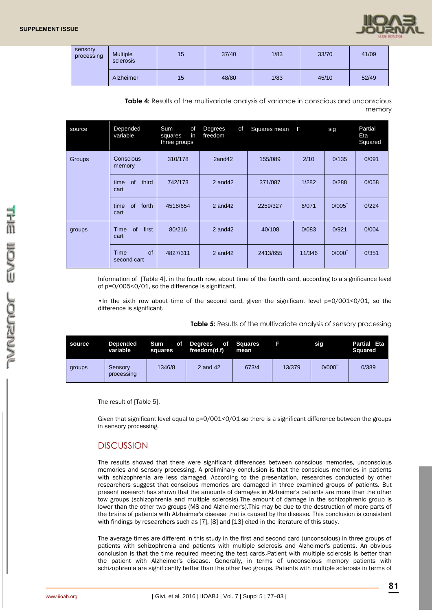| sensory<br>processing | <b>Multiple</b><br>sclerosis | 15 | 37/40 | 1/83 | 33/70 | 41/09 |
|-----------------------|------------------------------|----|-------|------|-------|-------|
|                       | Alzheimer                    | 15 | 48/80 | 1/83 | 45/10 | 52/49 |

**Table 4:** Results of the multivariate analysis of variance in conscious and unconscious memory

| source | Depended<br>variable                                                              | Sum<br>of<br>in<br>squares<br>three groups | Degrees<br>οf<br>freedom | Squares mean | F      | sig       | Partial<br>Eta<br>Squared |
|--------|-----------------------------------------------------------------------------------|--------------------------------------------|--------------------------|--------------|--------|-----------|---------------------------|
| Groups | Conscious<br>memory                                                               | 310/178                                    | 2and42                   | 155/089      | 2/10   | 0/135     | 0/091                     |
|        | of<br>time<br>third<br>742/173<br>cart<br>of<br>time<br>forth<br>4518/654<br>cart |                                            | $2$ and $42$             | 371/087      | 1/282  | 0/288     | 0/058                     |
|        |                                                                                   |                                            | $2$ and $42$             | 2259/327     | 6/071  | $0/005^*$ | 0/224                     |
| groups | of<br>first<br>Time<br>cart                                                       | 80/216                                     | $2$ and $42$             | 40/108       | 0/083  | 0/921     | 0/004                     |
|        | of<br>Time<br>second cart                                                         | 4827/311                                   | $2$ and $42$             | 2413/655     | 11/346 | $0/000^*$ | 0/351                     |

Information of [Table 4]. in the fourth row, about time of the fourth card, according to a significance level of p=0/005<0/01, so the difference is significant.

•In the sixth row about time of the second card, given the significant level  $p=0/001<0/01$ , so the difference is significant.

**Table 5:** Results of the multivariate analysis of sensory processing

| source | <b>Depended</b><br>variable | <b>Sum</b><br>оf<br>squares | Degrees of Squares<br>freedom(d.f) | mean  |        | sig   | Partial Eta<br><b>Squared</b> |
|--------|-----------------------------|-----------------------------|------------------------------------|-------|--------|-------|-------------------------------|
| groups | Sensory<br>processing       | 1346/8                      | 2 and 42                           | 673/4 | 13/379 | 0/000 | 0/389                         |

The result of [Table 5].

Given that significant level equal to p=0/001<0/01.so there is a significant difference between the groups in sensory processing.

# **DISCUSSION**

The results showed that there were significant differences between conscious memories, unconscious memories and sensory processing. A preliminary conclusion is that the conscious memories in patients with schizophrenia are less damaged. According to the presentation, researches conducted by other researchers suggest that conscious memories are damaged in three examined groups of patients. But present research has shown that the amounts of damages in Alzheimer's patients are more than the other tow groups (schizophrenia and multiple sclerosis).The amount of damage in the schizophrenic group is lower than the other two groups (MS and Alzheimer's).This may be due to the destruction of more parts of the brains of patients with Alzheimer's disease that is caused by the disease. This conclusion is consistent with findings by researchers such as [7], [8] and [13] cited in the literature of this study.

The average times are different in this study in the first and second card (unconscious) in three groups of patients with schizophrenia and patients with multiple sclerosis and Alzheimer's patients. An obvious conclusion is that the time required meeting the test cards, Patient with multiple sclerosis is better than the patient with Alzheimer's disease. Generally, in terms of unconscious memory patients with schizophrenia are significantly better than the other two groups. Patients with multiple sclerosis in terms of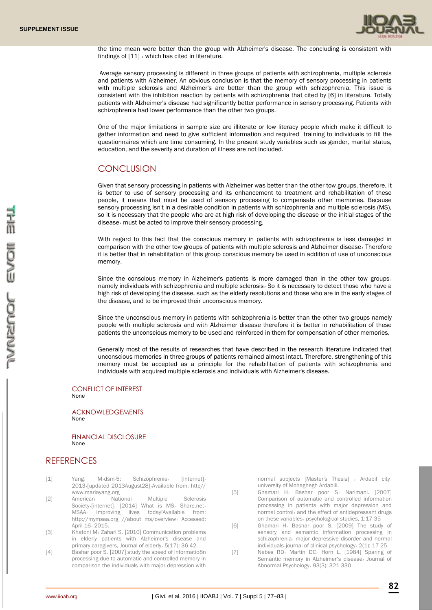

the time mean were better than the group with Alzheimer's disease. The concluding is consistent with findings of  $[11]$ , which has cited in literature.

Average sensory processing is different in three groups of patients with schizophrenia, multiple sclerosis and patients with Alzheimer. An obvious conclusion is that the memory of sensory processing in patients with multiple sclerosis and Alzheimer's are better than the group with schizophrenia. This issue is consistent with the inhibition reaction by patients with schizophrenia that cited by [6] in literature. Totally patients with Alzheimer's disease had significantly better performance in sensory processing. Patients with schizophrenia had lower performance than the other two groups.

One of the major limitations in sample size are illiterate or low literacy people which make it difficult to gather information and need to give sufficient information and required training to individuals to fill the questionnaires which are time consuming. In the present study variables such as gender, marital status, education, and the severity and duration of illness are not included.

## **CONCLUSION**

Given that sensory processing in patients with Alzheimer was better than the other tow groups, therefore, it is better to use of sensory processing and its enhancement to treatment and rehabilitation of these people, it means that must be used of sensory processing to compensate other memories. Because sensory processing isn't in a desirable condition in patients with schizophrenia and multiple sclerosis (MS), so it is necessary that the people who are at high risk of developing the disease or the initial stages of the disease٫ must be acted to improve their sensory processing.

With regard to this fact that the conscious memory in patients with schizophrenia is less damaged in comparison with the other tow groups of patients with multiple sclerosis and Alzheimer disease, Therefore it is better that in rehabilitation of this group conscious memory be used in addition of use of unconscious memory.

Since the conscious memory in Alzheimer's patients is more damaged than in the other tow groups, namely individuals with schizophrenia and multiple sclerosis, So it is necessary to detect those who have a high risk of developing the disease, such as the elderly resolutions and those who are in the early stages of the disease, and to be improved their unconscious memory.

Since the unconscious memory in patients with schizophrenia is better than the other two groups namely people with multiple sclerosis and with Alzheimer disease therefore it is better in rehabilitation of these patients the unconscious memory to be used and reinforced in them for compensation of other memories.

Generally most of the results of researches that have described in the research literature indicated that unconscious memories in three groups of patients remained almost intact. Therefore, strengthening of this memory must be accepted as a principle for the rehabilitation of patients with schizophrenia and individuals with acquired multiple sclerosis and individuals with Alzheimer's disease.

CONFLICT OF INTEREST None

ACKNOWLEDGEMENTS None

FINANCIAL DISCLOSURE None

# **REFERENCES**

- [1] Yang, M,dsm-5: Schizophrenia, [internet], 2013٫[updated 2013August28]٫Available from: http// www.mariayang.org
- [2] American National Multiple Sclerosis Society, [internet], [2014] What is MS, Share.net, MSAA٫ Improving lives today!Available from: http://mymsaa.org //about ms/overview, Accessed: April 16٫ 2015.
- [3] Khatoni M٫ Zahari S. [2010] Communication problems in elderly patients with Alzheimer's disease and primary caregivers, Journal of elderly٫ 5(17): 36-42.
- [4] Bashar poor S. [2007] study the speed of informatio8n processing due to automatic and controlled memory in comparison the individuals with major depression with

normal subjects [Master's Thesis] , Ardabil city, university of Mohaghegh Ardabili.

- [5] Ghamari H, Bashar poor S, Narimani. [2007] Comparison of automatic and controlled information processing in patients with major depression and normal control, and the effect of antidepressant drugs on these variables, psychological studies, 1:17-35
- [6] Ghamari H٫ Bashar poor S. [2009] The study of sensory and semantic information processing in schizophrenia, major depressive disorder and normal individuals, journal of clinical psychology, 2(1): 17-25
- [7] Nebes RD٫ Martin DC٫ Horn L. [1984] Sparing of Semantic memory in Alzheimer's disease, Journal of Abnormal Psychology٫ 93(3): 321-330